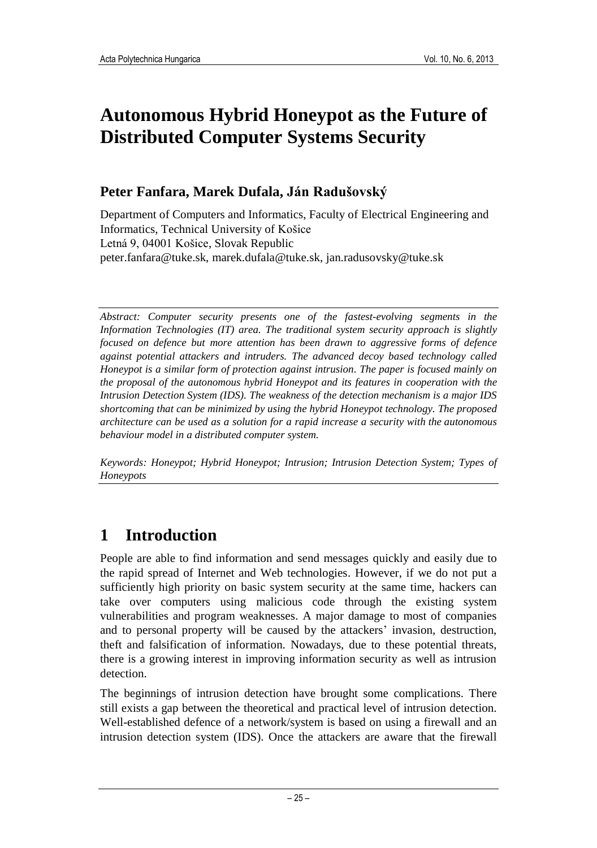# **Autonomous Hybrid Honeypot as the Future of Distributed Computer Systems Security**

## **Peter Fanfara, Marek Dufala, Ján Radušovský**

Department of Computers and Informatics, Faculty of Electrical Engineering and Informatics, Technical University of Košice Letná 9, 04001 Košice, Slovak Republic peter.fanfara@tuke.sk, marek.dufala@tuke.sk, jan.radusovsky@tuke.sk

*Abstract: Computer security presents one of the fastest-evolving segments in the Information Technologies (IT) area. The traditional system security approach is slightly focused on defence but more attention has been drawn to aggressive forms of defence against potential attackers and intruders. The advanced decoy based technology called Honeypot is a similar form of protection against intrusion. The paper is focused mainly on the proposal of the autonomous hybrid Honeypot and its features in cooperation with the Intrusion Detection System (IDS). The weakness of the detection mechanism is a major IDS shortcoming that can be minimized by using the hybrid Honeypot technology. The proposed architecture can be used as a solution for a rapid increase a security with the autonomous behaviour model in a distributed computer system.*

*Keywords: Honeypot; Hybrid Honeypot; Intrusion; Intrusion Detection System; Types of Honeypots*

## **1 Introduction**

People are able to find information and send messages quickly and easily due to the rapid spread of Internet and Web technologies. However, if we do not put a sufficiently high priority on basic system security at the same time, hackers can take over computers using malicious code through the existing system vulnerabilities and program weaknesses. A major damage to most of companies and to personal property will be caused by the attackers' invasion, destruction, theft and falsification of information. Nowadays, due to these potential threats, there is a growing interest in improving information security as well as intrusion detection.

The beginnings of intrusion detection have brought some complications. There still exists a gap between the theoretical and practical level of intrusion detection. Well-established defence of a network/system is based on using a firewall and an intrusion detection system (IDS). Once the attackers are aware that the firewall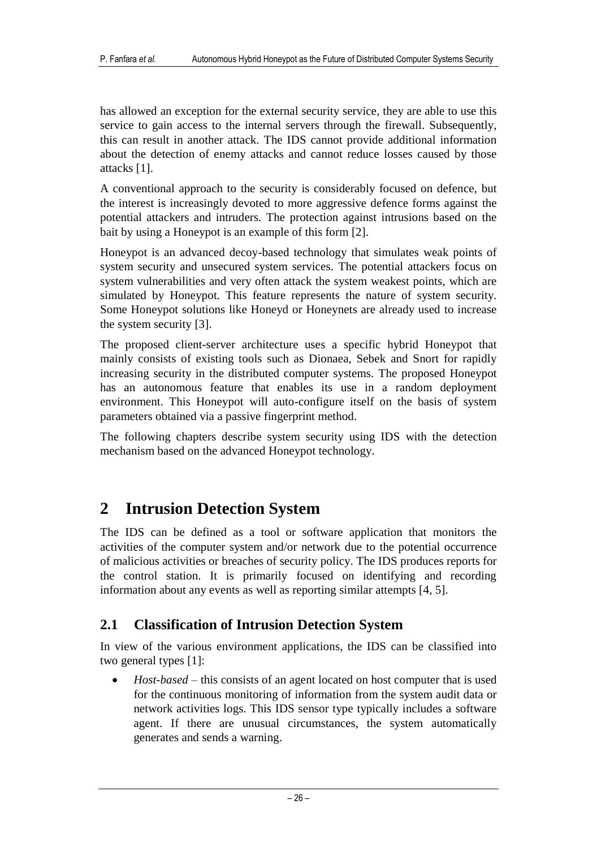has allowed an exception for the external security service, they are able to use this service to gain access to the internal servers through the firewall. Subsequently, this can result in another attack. The IDS cannot provide additional information about the detection of enemy attacks and cannot reduce losses caused by those attacks [1].

A conventional approach to the security is considerably focused on defence, but the interest is increasingly devoted to more aggressive defence forms against the potential attackers and intruders. The protection against intrusions based on the bait by using a Honeypot is an example of this form [2].

Honeypot is an advanced decoy-based technology that simulates weak points of system security and unsecured system services. The potential attackers focus on system vulnerabilities and very often attack the system weakest points, which are simulated by Honeypot. This feature represents the nature of system security. Some Honeypot solutions like Honeyd or Honeynets are already used to increase the system security [3].

The proposed client-server architecture uses a specific hybrid Honeypot that mainly consists of existing tools such as Dionaea, Sebek and Snort for rapidly increasing security in the distributed computer systems. The proposed Honeypot has an autonomous feature that enables its use in a random deployment environment. This Honeypot will auto-configure itself on the basis of system parameters obtained via a passive fingerprint method.

The following chapters describe system security using IDS with the detection mechanism based on the advanced Honeypot technology.

## **2 Intrusion Detection System**

The IDS can be defined as a tool or software application that monitors the activities of the computer system and/or network due to the potential occurrence of malicious activities or breaches of security policy. The IDS produces reports for the control station. It is primarily focused on identifying and recording information about any events as well as reporting similar attempts [4, 5].

## **2.1 Classification of Intrusion Detection System**

In view of the various environment applications, the IDS can be classified into two general types [1]:

 *Host-based* – this consists of an agent located on host computer that is used for the continuous monitoring of information from the system audit data or network activities logs. This IDS sensor type typically includes a software agent. If there are unusual circumstances, the system automatically generates and sends a warning.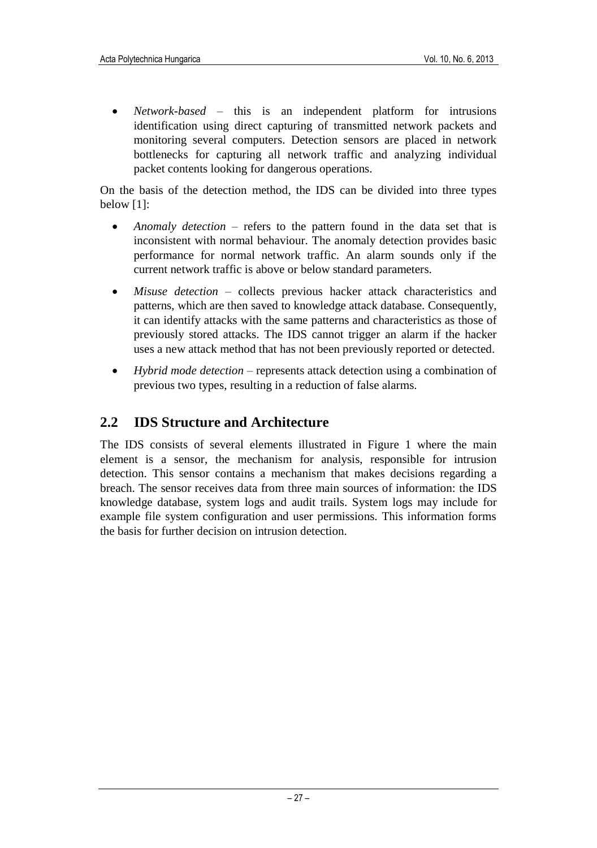*Network-based* – this is an independent platform for intrusions identification using direct capturing of transmitted network packets and monitoring several computers. Detection sensors are placed in network bottlenecks for capturing all network traffic and analyzing individual packet contents looking for dangerous operations.

On the basis of the detection method, the IDS can be divided into three types below [1]:

- *Anomaly detection* refers to the pattern found in the data set that is inconsistent with normal behaviour. The anomaly detection provides basic performance for normal network traffic. An alarm sounds only if the current network traffic is above or below standard parameters.
- *Misuse detection* collects previous hacker attack characteristics and patterns, which are then saved to knowledge attack database. Consequently, it can identify attacks with the same patterns and characteristics as those of previously stored attacks. The IDS cannot trigger an alarm if the hacker uses a new attack method that has not been previously reported or detected.
- *Hybrid mode detection* represents attack detection using a combination of previous two types, resulting in a reduction of false alarms.

### **2.2 IDS Structure and Architecture**

The IDS consists of several elements illustrated in Figure 1 where the main element is a sensor, the mechanism for analysis, responsible for intrusion detection. This sensor contains a mechanism that makes decisions regarding a breach. The sensor receives data from three main sources of information: the IDS knowledge database, system logs and audit trails. System logs may include for example file system configuration and user permissions. This information forms the basis for further decision on intrusion detection.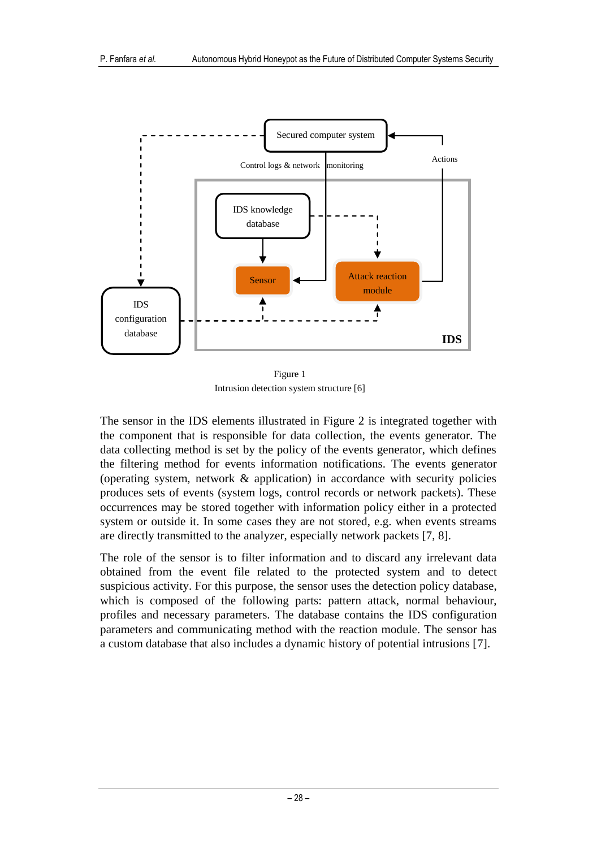

Figure 1 Intrusion detection system structure [6]

The sensor in the IDS elements illustrated in Figure 2 is integrated together with the component that is responsible for data collection, the events generator. The data collecting method is set by the policy of the events generator, which defines the filtering method for events information notifications. The events generator (operating system, network & application) in accordance with security policies produces sets of events (system logs, control records or network packets). These occurrences may be stored together with information policy either in a protected system or outside it. In some cases they are not stored, e.g. when events streams are directly transmitted to the analyzer, especially network packets [7, 8].

The role of the sensor is to filter information and to discard any irrelevant data obtained from the event file related to the protected system and to detect suspicious activity. For this purpose, the sensor uses the detection policy database, which is composed of the following parts: pattern attack, normal behaviour, profiles and necessary parameters. The database contains the IDS configuration parameters and communicating method with the reaction module. The sensor has a custom database that also includes a dynamic history of potential intrusions [7].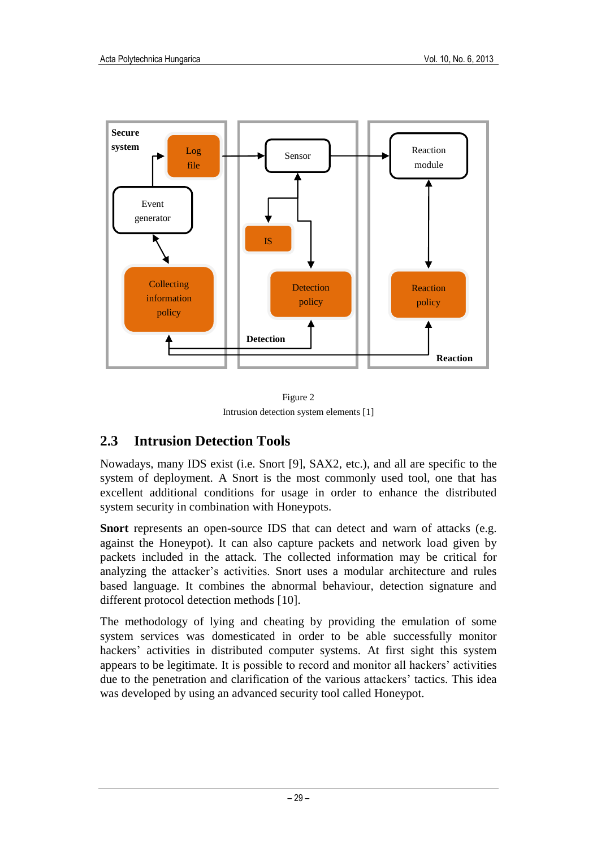

Figure 2 Intrusion detection system elements [1]

## **2.3 Intrusion Detection Tools**

Nowadays, many IDS exist (i.e. Snort [9], SAX2, etc.), and all are specific to the system of deployment. A Snort is the most commonly used tool, one that has excellent additional conditions for usage in order to enhance the distributed system security in combination with Honeypots.

**Snort** represents an open-source IDS that can detect and warn of attacks (e.g. against the Honeypot). It can also capture packets and network load given by packets included in the attack. The collected information may be critical for analyzing the attacker's activities. Snort uses a modular architecture and rules based language. It combines the abnormal behaviour, detection signature and different protocol detection methods [10].

The methodology of lying and cheating by providing the emulation of some system services was domesticated in order to be able successfully monitor hackers' activities in distributed computer systems. At first sight this system appears to be legitimate. It is possible to record and monitor all hackers' activities due to the penetration and clarification of the various attackers' tactics. This idea was developed by using an advanced security tool called Honeypot.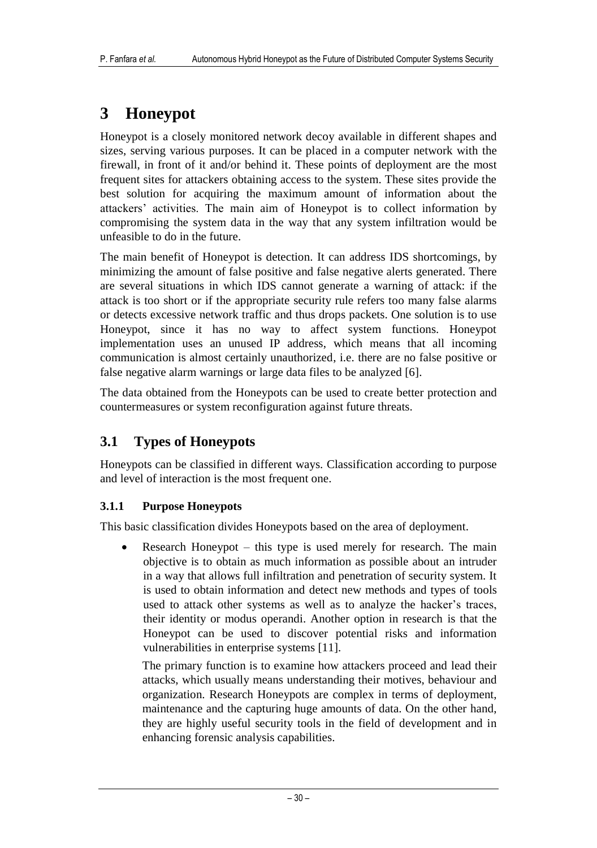## **3 Honeypot**

Honeypot is a closely monitored network decoy available in different shapes and sizes, serving various purposes. It can be placed in a computer network with the firewall, in front of it and/or behind it. These points of deployment are the most frequent sites for attackers obtaining access to the system. These sites provide the best solution for acquiring the maximum amount of information about the attackers' activities. The main aim of Honeypot is to collect information by compromising the system data in the way that any system infiltration would be unfeasible to do in the future.

The main benefit of Honeypot is detection. It can address IDS shortcomings, by minimizing the amount of false positive and false negative alerts generated. There are several situations in which IDS cannot generate a warning of attack: if the attack is too short or if the appropriate security rule refers too many false alarms or detects excessive network traffic and thus drops packets. One solution is to use Honeypot, since it has no way to affect system functions. Honeypot implementation uses an unused IP address, which means that all incoming communication is almost certainly unauthorized, i.e. there are no false positive or false negative alarm warnings or large data files to be analyzed [6].

The data obtained from the Honeypots can be used to create better protection and countermeasures or system reconfiguration against future threats.

## **3.1 Types of Honeypots**

Honeypots can be classified in different ways. Classification according to purpose and level of interaction is the most frequent one.

### **3.1.1 Purpose Honeypots**

This basic classification divides Honeypots based on the area of deployment.

• Research Honeypot – this type is used merely for research. The main objective is to obtain as much information as possible about an intruder in a way that allows full infiltration and penetration of security system. It is used to obtain information and detect new methods and types of tools used to attack other systems as well as to analyze the hacker's traces, their identity or modus operandi. Another option in research is that the Honeypot can be used to discover potential risks and information vulnerabilities in enterprise systems [11].

The primary function is to examine how attackers proceed and lead their attacks, which usually means understanding their motives, behaviour and organization. Research Honeypots are complex in terms of deployment, maintenance and the capturing huge amounts of data. On the other hand, they are highly useful security tools in the field of development and in enhancing forensic analysis capabilities.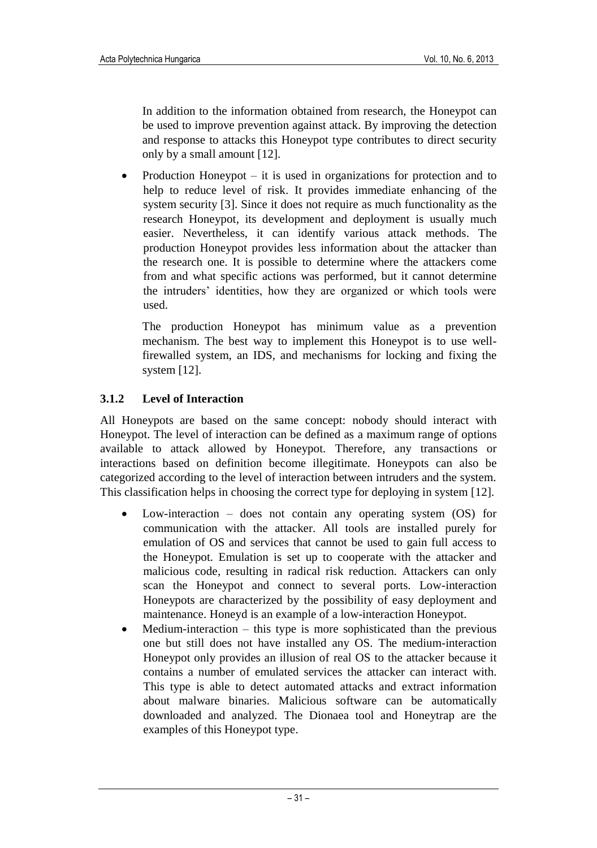In addition to the information obtained from research, the Honeypot can be used to improve prevention against attack. By improving the detection and response to attacks this Honeypot type contributes to direct security only by a small amount [12].

• Production Honeypot – it is used in organizations for protection and to help to reduce level of risk. It provides immediate enhancing of the system security [3]. Since it does not require as much functionality as the research Honeypot, its development and deployment is usually much easier. Nevertheless, it can identify various attack methods. The production Honeypot provides less information about the attacker than the research one. It is possible to determine where the attackers come from and what specific actions was performed, but it cannot determine the intruders' identities, how they are organized or which tools were used.

The production Honeypot has minimum value as a prevention mechanism. The best way to implement this Honeypot is to use wellfirewalled system, an IDS, and mechanisms for locking and fixing the system [12].

### **3.1.2 Level of Interaction**

All Honeypots are based on the same concept: nobody should interact with Honeypot. The level of interaction can be defined as a maximum range of options available to attack allowed by Honeypot. Therefore, any transactions or interactions based on definition become illegitimate. Honeypots can also be categorized according to the level of interaction between intruders and the system. This classification helps in choosing the correct type for deploying in system [12].

- Low-interaction does not contain any operating system (OS) for communication with the attacker. All tools are installed purely for emulation of OS and services that cannot be used to gain full access to the Honeypot. Emulation is set up to cooperate with the attacker and malicious code, resulting in radical risk reduction. Attackers can only scan the Honeypot and connect to several ports. Low-interaction Honeypots are characterized by the possibility of easy deployment and maintenance. Honeyd is an example of a low-interaction Honeypot.
- $\bullet$  Medium-interaction this type is more sophisticated than the previous one but still does not have installed any OS. The medium-interaction Honeypot only provides an illusion of real OS to the attacker because it contains a number of emulated services the attacker can interact with. This type is able to detect automated attacks and extract information about malware binaries. Malicious software can be automatically downloaded and analyzed. The Dionaea tool and Honeytrap are the examples of this Honeypot type.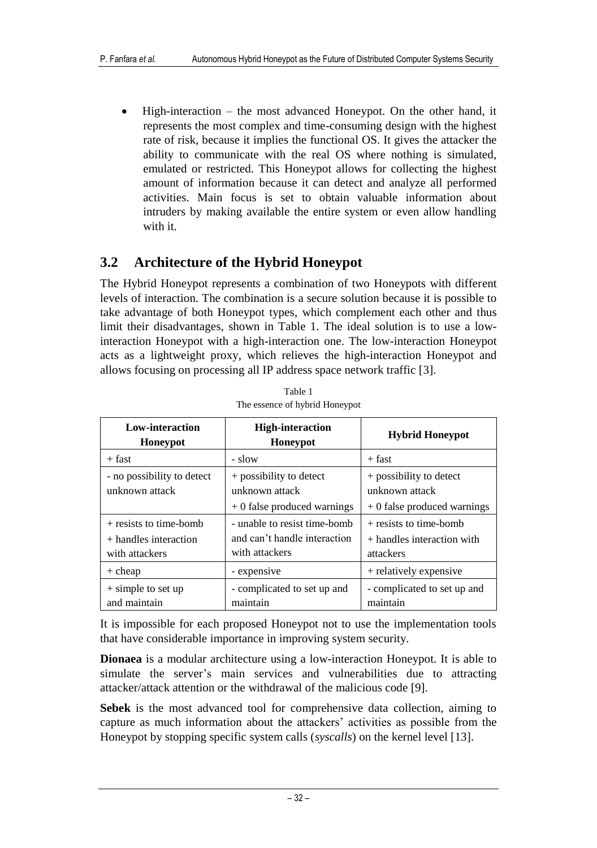• High-interaction – the most advanced Honeypot. On the other hand, it represents the most complex and time-consuming design with the highest rate of risk, because it implies the functional OS. It gives the attacker the ability to communicate with the real OS where nothing is simulated, emulated or restricted. This Honeypot allows for collecting the highest amount of information because it can detect and analyze all performed activities. Main focus is set to obtain valuable information about intruders by making available the entire system or even allow handling with it.

### **3.2 Architecture of the Hybrid Honeypot**

The Hybrid Honeypot represents a combination of two Honeypots with different levels of interaction. The combination is a secure solution because it is possible to take advantage of both Honeypot types, which complement each other and thus limit their disadvantages, shown in Table 1. The ideal solution is to use a lowinteraction Honeypot with a high-interaction one. The low-interaction Honeypot acts as a lightweight proxy, which relieves the high-interaction Honeypot and allows focusing on processing all IP address space network traffic [3].

| Low-interaction<br>Honeypot                                           | <b>High-interaction</b><br>Honeypot                                            | <b>Hybrid Honeypot</b>                                                    |
|-----------------------------------------------------------------------|--------------------------------------------------------------------------------|---------------------------------------------------------------------------|
| $+$ fast                                                              | - slow                                                                         | $+$ fast                                                                  |
| - no possibility to detect<br>unknown attack                          | + possibility to detect<br>unknown attack<br>$+0$ false produced warnings      | + possibility to detect<br>unknown attack<br>$+0$ false produced warnings |
| $+$ resists to time-bomb<br>$+$ handles interaction<br>with attackers | - unable to resist time-bomb<br>and can't handle interaction<br>with attackers | + resists to time-bomb<br>$+$ handles interaction with<br>attackers       |
| $+$ cheap                                                             | - expensive                                                                    | + relatively expensive                                                    |
| $+$ simple to set up<br>and maintain                                  | - complicated to set up and<br>maintain                                        | - complicated to set up and<br>maintain                                   |

Table 1 The essence of hybrid Honeypot

It is impossible for each proposed Honeypot not to use the implementation tools that have considerable importance in improving system security.

**Dionaea** is a modular architecture using a low-interaction Honeypot. It is able to simulate the server's main services and vulnerabilities due to attracting attacker/attack attention or the withdrawal of the malicious code [9].

**Sebek** is the most advanced tool for comprehensive data collection, aiming to capture as much information about the attackers' activities as possible from the Honeypot by stopping specific system calls (*syscalls*) on the kernel level [13].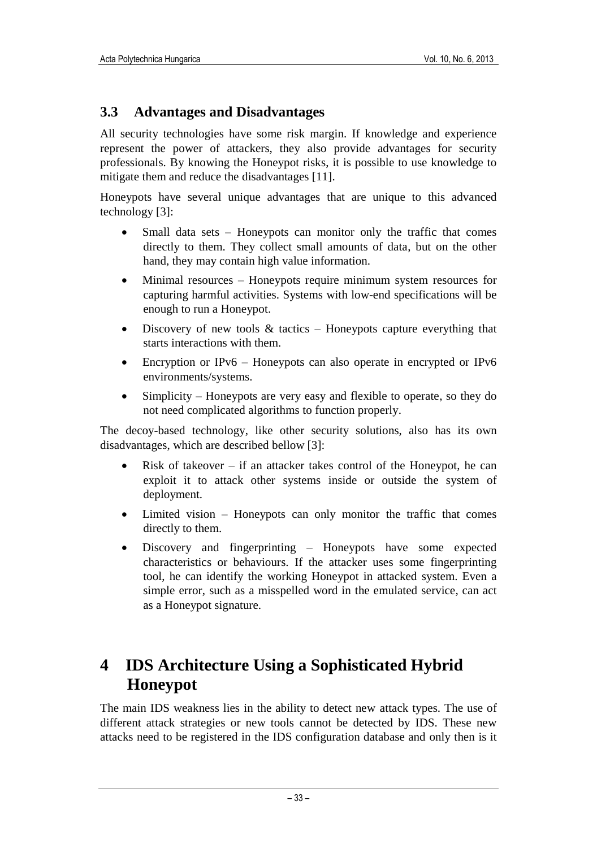### **3.3 Advantages and Disadvantages**

All security technologies have some risk margin. If knowledge and experience represent the power of attackers, they also provide advantages for security professionals. By knowing the Honeypot risks, it is possible to use knowledge to mitigate them and reduce the disadvantages [11].

Honeypots have several unique advantages that are unique to this advanced technology [3]:

- Small data sets Honeypots can monitor only the traffic that comes directly to them. They collect small amounts of data, but on the other hand, they may contain high value information.
- Minimal resources Honeypots require minimum system resources for capturing harmful activities. Systems with low-end specifications will be enough to run a Honeypot.
- Discovery of new tools  $\&$  tactics Honeypots capture everything that starts interactions with them.
- Encryption or IPv6 Honeypots can also operate in encrypted or IPv6 environments/systems.
- Simplicity Honeypots are very easy and flexible to operate, so they do not need complicated algorithms to function properly.

The decoy-based technology, like other security solutions, also has its own disadvantages, which are described bellow [3]:

- Risk of takeover if an attacker takes control of the Honeypot, he can exploit it to attack other systems inside or outside the system of deployment.
- Limited vision Honeypots can only monitor the traffic that comes directly to them.
- Discovery and fingerprinting Honeypots have some expected characteristics or behaviours. If the attacker uses some fingerprinting tool, he can identify the working Honeypot in attacked system. Even a simple error, such as a misspelled word in the emulated service, can act as a Honeypot signature.

## **4 IDS Architecture Using a Sophisticated Hybrid Honeypot**

The main IDS weakness lies in the ability to detect new attack types. The use of different attack strategies or new tools cannot be detected by IDS. These new attacks need to be registered in the IDS configuration database and only then is it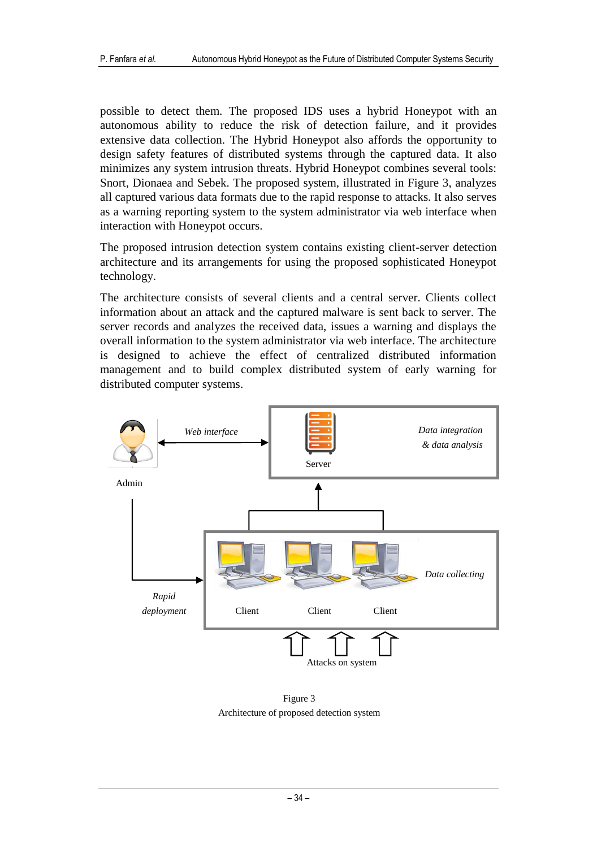possible to detect them. The proposed IDS uses a hybrid Honeypot with an autonomous ability to reduce the risk of detection failure, and it provides extensive data collection. The Hybrid Honeypot also affords the opportunity to design safety features of distributed systems through the captured data. It also minimizes any system intrusion threats. Hybrid Honeypot combines several tools: Snort, Dionaea and Sebek. The proposed system, illustrated in Figure 3, analyzes all captured various data formats due to the rapid response to attacks. It also serves as a warning reporting system to the system administrator via web interface when interaction with Honeypot occurs.

The proposed intrusion detection system contains existing client-server detection architecture and its arrangements for using the proposed sophisticated Honeypot technology.

The architecture consists of several clients and a central server. Clients collect information about an attack and the captured malware is sent back to server. The server records and analyzes the received data, issues a warning and displays the overall information to the system administrator via web interface. The architecture is designed to achieve the effect of centralized distributed information management and to build complex distributed system of early warning for distributed computer systems.



Figure 3 Architecture of proposed detection system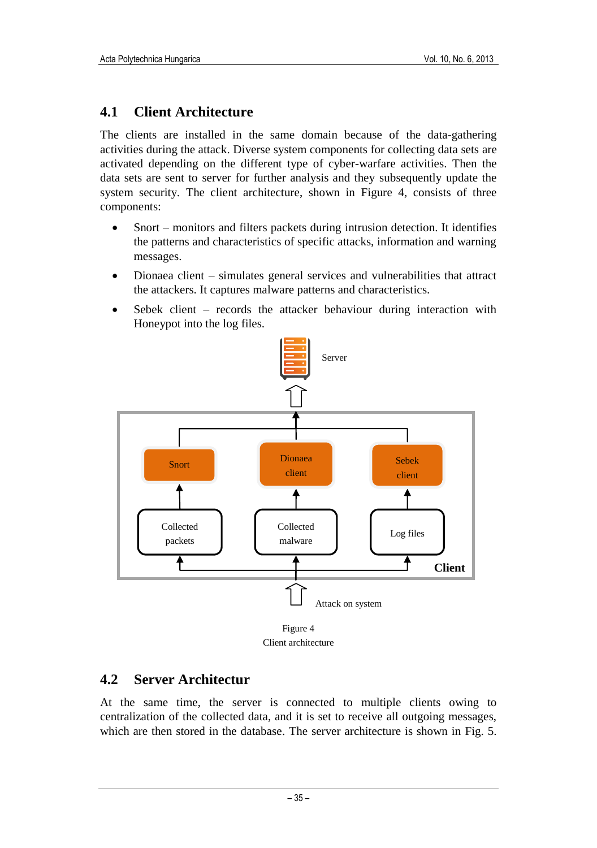## **4.1 Client Architecture**

The clients are installed in the same domain because of the data-gathering activities during the attack. Diverse system components for collecting data sets are activated depending on the different type of cyber-warfare activities. Then the data sets are sent to server for further analysis and they subsequently update the system security. The client architecture, shown in Figure 4, consists of three components:

- Snort monitors and filters packets during intrusion detection. It identifies the patterns and characteristics of specific attacks, information and warning messages.
- Dionaea client simulates general services and vulnerabilities that attract the attackers. It captures malware patterns and characteristics.
- Sebek client records the attacker behaviour during interaction with Honeypot into the log files.



Client architecture

## **4.2 Server Architectur**

At the same time, the server is connected to multiple clients owing to centralization of the collected data, and it is set to receive all outgoing messages, which are then stored in the database. The server architecture is shown in Fig. 5.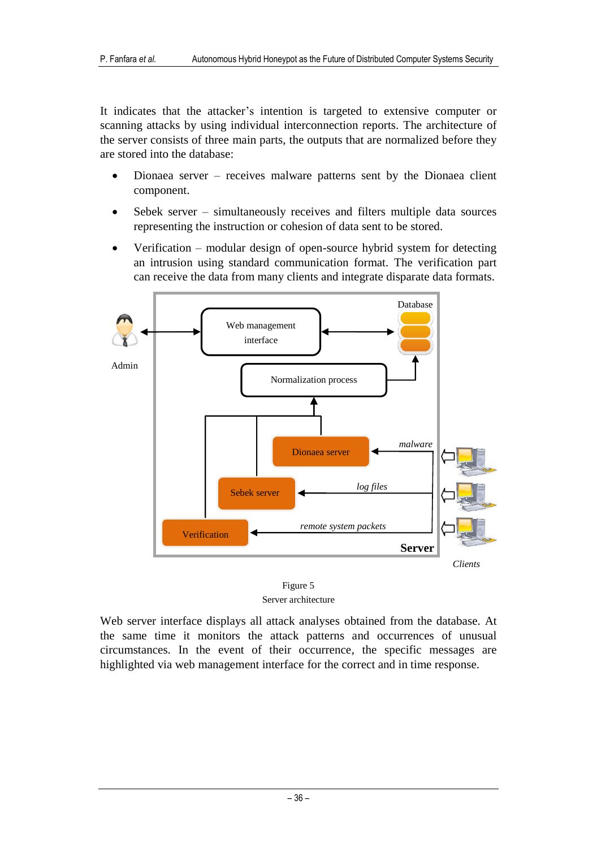It indicates that the attacker's intention is targeted to extensive computer or scanning attacks by using individual interconnection reports. The architecture of the server consists of three main parts, the outputs that are normalized before they are stored into the database:

- Dionaea server receives malware patterns sent by the Dionaea client component.
- Sebek server simultaneously receives and filters multiple data sources representing the instruction or cohesion of data sent to be stored.
- Verification modular design of open-source hybrid system for detecting an intrusion using standard communication format. The verification part can receive the data from many clients and integrate disparate data formats.



Figure 5 Server architecture

Web server interface displays all attack analyses obtained from the database. At the same time it monitors the attack patterns and occurrences of unusual circumstances. In the event of their occurrence, the specific messages are highlighted via web management interface for the correct and in time response.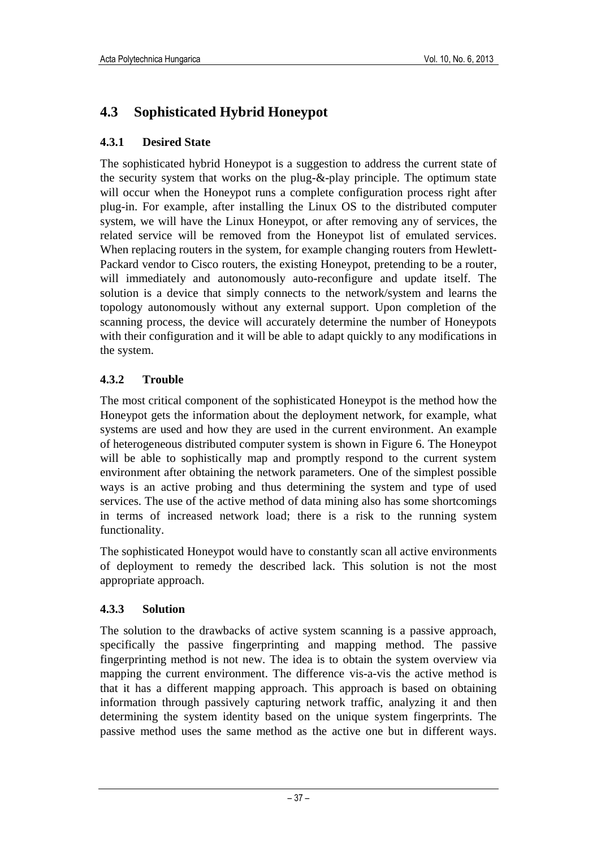## **4.3 Sophisticated Hybrid Honeypot**

### **4.3.1 Desired State**

The sophisticated hybrid Honeypot is a suggestion to address the current state of the security system that works on the plug-&-play principle. The optimum state will occur when the Honeypot runs a complete configuration process right after plug-in. For example, after installing the Linux OS to the distributed computer system, we will have the Linux Honeypot, or after removing any of services, the related service will be removed from the Honeypot list of emulated services. When replacing routers in the system, for example changing routers from Hewlett-Packard vendor to Cisco routers, the existing Honeypot, pretending to be a router, will immediately and autonomously auto-reconfigure and update itself. The solution is a device that simply connects to the network/system and learns the topology autonomously without any external support. Upon completion of the scanning process, the device will accurately determine the number of Honeypots with their configuration and it will be able to adapt quickly to any modifications in the system.

### **4.3.2 Trouble**

The most critical component of the sophisticated Honeypot is the method how the Honeypot gets the information about the deployment network, for example, what systems are used and how they are used in the current environment. An example of heterogeneous distributed computer system is shown in Figure 6. The Honeypot will be able to sophistically map and promptly respond to the current system environment after obtaining the network parameters. One of the simplest possible ways is an active probing and thus determining the system and type of used services. The use of the active method of data mining also has some shortcomings in terms of increased network load; there is a risk to the running system functionality.

The sophisticated Honeypot would have to constantly scan all active environments of deployment to remedy the described lack. This solution is not the most appropriate approach.

#### **4.3.3 Solution**

The solution to the drawbacks of active system scanning is a passive approach, specifically the passive fingerprinting and mapping method. The passive fingerprinting method is not new. The idea is to obtain the system overview via mapping the current environment. The difference vis-a-vis the active method is that it has a different mapping approach. This approach is based on obtaining information through passively capturing network traffic, analyzing it and then determining the system identity based on the unique system fingerprints. The passive method uses the same method as the active one but in different ways.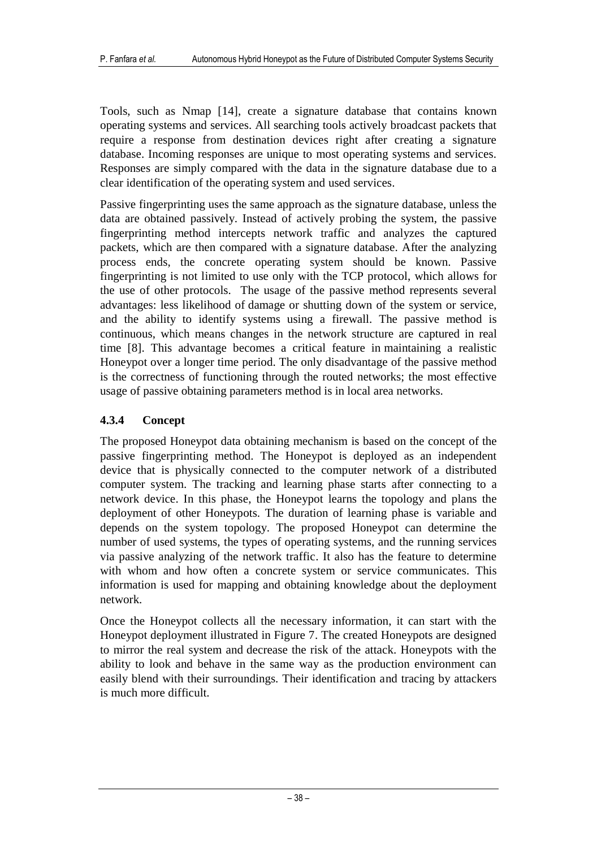Tools, such as Nmap [14], create a signature database that contains known operating systems and services. All searching tools actively broadcast packets that require a response from destination devices right after creating a signature database. Incoming responses are unique to most operating systems and services. Responses are simply compared with the data in the signature database due to a clear identification of the operating system and used services.

Passive fingerprinting uses the same approach as the signature database, unless the data are obtained passively. Instead of actively probing the system, the passive fingerprinting method intercepts network traffic and analyzes the captured packets, which are then compared with a signature database. After the analyzing process ends, the concrete operating system should be known. Passive fingerprinting is not limited to use only with the TCP protocol, which allows for the use of other protocols. The usage of the passive method represents several advantages: less likelihood of damage or shutting down of the system or service, and the ability to identify systems using a firewall. The passive method is continuous, which means changes in the network structure are captured in real time [8]. This advantage becomes a critical feature in maintaining a realistic Honeypot over a longer time period. The only disadvantage of the passive method is the correctness of functioning through the routed networks; the most effective usage of passive obtaining parameters method is in local area networks.

### **4.3.4 Concept**

The proposed Honeypot data obtaining mechanism is based on the concept of the passive fingerprinting method. The Honeypot is deployed as an independent device that is physically connected to the computer network of a distributed computer system. The tracking and learning phase starts after connecting to a network device. In this phase, the Honeypot learns the topology and plans the deployment of other Honeypots. The duration of learning phase is variable and depends on the system topology. The proposed Honeypot can determine the number of used systems, the types of operating systems, and the running services via passive analyzing of the network traffic. It also has the feature to determine with whom and how often a concrete system or service communicates. This information is used for mapping and obtaining knowledge about the deployment network.

Once the Honeypot collects all the necessary information, it can start with the Honeypot deployment illustrated in Figure 7. The created Honeypots are designed to mirror the real system and decrease the risk of the attack. Honeypots with the ability to look and behave in the same way as the production environment can easily blend with their surroundings. Their identification and tracing by attackers is much more difficult.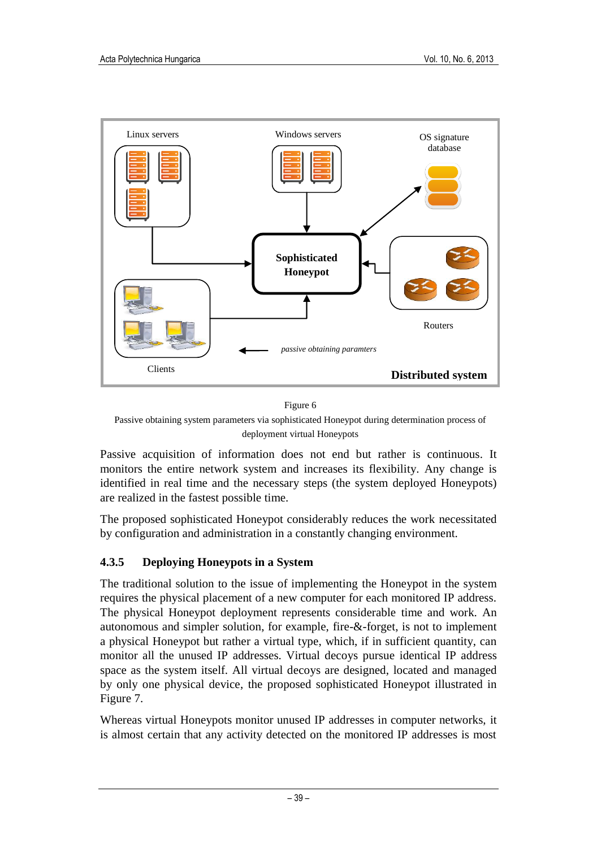

Figure 6

Passive obtaining system parameters via sophisticated Honeypot during determination process of deployment virtual Honeypots

Passive acquisition of information does not end but rather is continuous. It monitors the entire network system and increases its flexibility. Any change is identified in real time and the necessary steps (the system deployed Honeypots) are realized in the fastest possible time.

The proposed sophisticated Honeypot considerably reduces the work necessitated by configuration and administration in a constantly changing environment.

### **4.3.5 Deploying Honeypots in a System**

The traditional solution to the issue of implementing the Honeypot in the system requires the physical placement of a new computer for each monitored IP address. The physical Honeypot deployment represents considerable time and work. An autonomous and simpler solution, for example, fire-&-forget, is not to implement a physical Honeypot but rather a virtual type, which, if in sufficient quantity, can monitor all the unused IP addresses. Virtual decoys pursue identical IP address space as the system itself. All virtual decoys are designed, located and managed by only one physical device, the proposed sophisticated Honeypot illustrated in Figure 7.

Whereas virtual Honeypots monitor unused IP addresses in computer networks, it is almost certain that any activity detected on the monitored IP addresses is most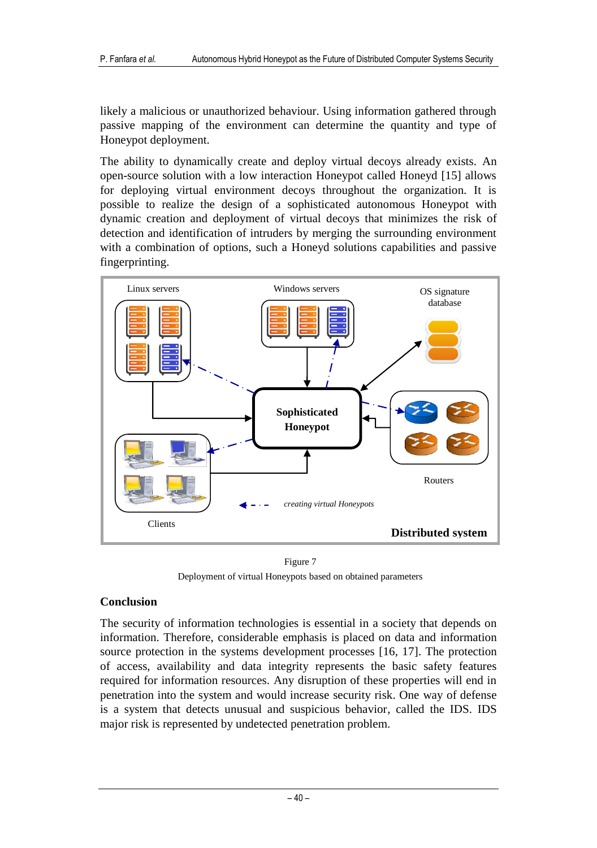likely a malicious or unauthorized behaviour. Using information gathered through passive mapping of the environment can determine the quantity and type of Honeypot deployment.

The ability to dynamically create and deploy virtual decoys already exists. An open-source solution with a low interaction Honeypot called Honeyd [15] allows for deploying virtual environment decoys throughout the organization. It is possible to realize the design of a sophisticated autonomous Honeypot with dynamic creation and deployment of virtual decoys that minimizes the risk of detection and identification of intruders by merging the surrounding environment with a combination of options, such a Honeyd solutions capabilities and passive fingerprinting.



Figure 7 Deployment of virtual Honeypots based on obtained parameters

#### **Conclusion**

The security of information technologies is essential in a society that depends on information. Therefore, considerable emphasis is placed on data and information source protection in the systems development processes [16, 17]. The protection of access, availability and data integrity represents the basic safety features required for information resources. Any disruption of these properties will end in penetration into the system and would increase security risk. One way of defense is a system that detects unusual and suspicious behavior, called the IDS. IDS major risk is represented by undetected penetration problem.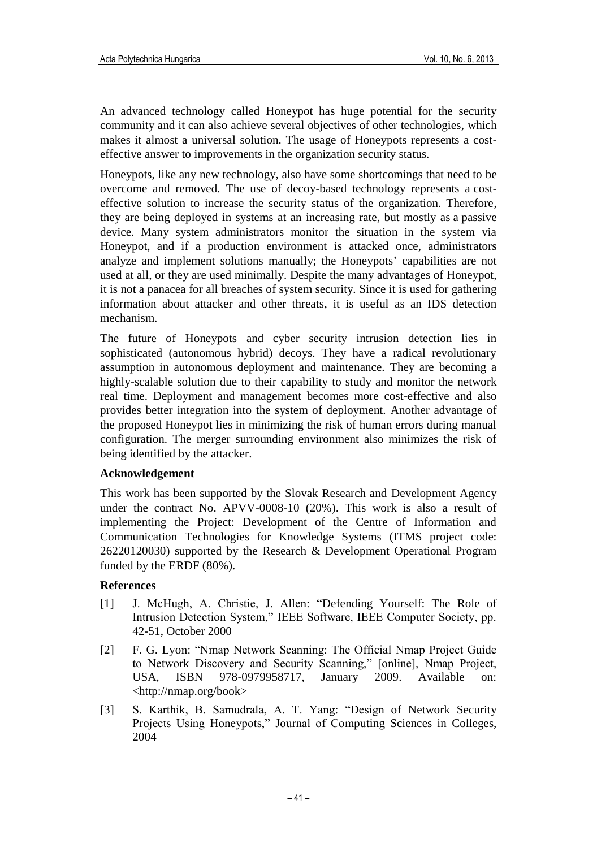An advanced technology called Honeypot has huge potential for the security community and it can also achieve several objectives of other technologies, which makes it almost a universal solution. The usage of Honeypots represents a costeffective answer to improvements in the organization security status.

Honeypots, like any new technology, also have some shortcomings that need to be overcome and removed. The use of decoy-based technology represents a costeffective solution to increase the security status of the organization. Therefore, they are being deployed in systems at an increasing rate, but mostly as a passive device. Many system administrators monitor the situation in the system via Honeypot, and if a production environment is attacked once, administrators analyze and implement solutions manually; the Honeypots' capabilities are not used at all, or they are used minimally. Despite the many advantages of Honeypot, it is not a panacea for all breaches of system security. Since it is used for gathering information about attacker and other threats, it is useful as an IDS detection mechanism.

The future of Honeypots and cyber security intrusion detection lies in sophisticated (autonomous hybrid) decoys. They have a radical revolutionary assumption in autonomous deployment and maintenance. They are becoming a highly-scalable solution due to their capability to study and monitor the network real time. Deployment and management becomes more cost-effective and also provides better integration into the system of deployment. Another advantage of the proposed Honeypot lies in minimizing the risk of human errors during manual configuration. The merger surrounding environment also minimizes the risk of being identified by the attacker.

#### **Acknowledgement**

This work has been supported by the Slovak Research and Development Agency under the contract No. APVV-0008-10 (20%). This work is also a result of implementing the Project: Development of the Centre of Information and Communication Technologies for Knowledge Systems (ITMS project code: 26220120030) supported by the Research & Development Operational Program funded by the ERDF (80%).

#### **References**

- [1] J. McHugh, A. Christie, J. Allen: "Defending Yourself: The Role of Intrusion Detection System," IEEE Software, IEEE Computer Society, pp. 42-51, October 2000
- [2] F. G. Lyon: "Nmap Network Scanning: The Official Nmap Project Guide to Network Discovery and Security Scanning," [online], Nmap Project, USA, ISBN 978-0979958717, January 2009. Available on: <http://nmap.org/book>
- [3] S. Karthik, B. Samudrala, A. T. Yang: "Design of Network Security Projects Using Honeypots," Journal of Computing Sciences in Colleges, 2004